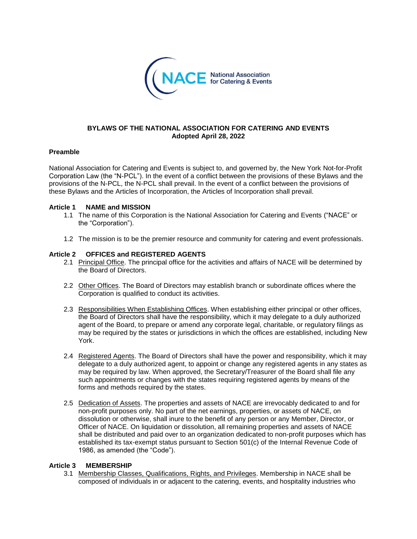

### **BYLAWS OF THE NATIONAL ASSOCIATION FOR CATERING AND EVENTS Adopted April 28, 2022**

#### **Preamble**

National Association for Catering and Events is subject to, and governed by, the New York Not-for-Profit Corporation Law (the "N-PCL"). In the event of a conflict between the provisions of these Bylaws and the provisions of the N-PCL, the N-PCL shall prevail. In the event of a conflict between the provisions of these Bylaws and the Articles of Incorporation, the Articles of Incorporation shall prevail.

#### **Article 1 NAME and MISSION**

- 1.1 The name of this Corporation is the National Association for Catering and Events ("NACE" or the "Corporation").
- 1.2 The mission is to be the premier resource and community for catering and event professionals.

## **Article 2 OFFICES and REGISTERED AGENTS**

- 2.1 Principal Office. The principal office for the activities and affairs of NACE will be determined by the Board of Directors.
- 2.2 Other Offices. The Board of Directors may establish branch or subordinate offices where the Corporation is qualified to conduct its activities.
- 2.3 Responsibilities When Establishing Offices. When establishing either principal or other offices, the Board of Directors shall have the responsibility, which it may delegate to a duly authorized agent of the Board, to prepare or amend any corporate legal, charitable, or regulatory filings as may be required by the states or jurisdictions in which the offices are established, including New York.
- 2.4 Registered Agents. The Board of Directors shall have the power and responsibility, which it may delegate to a duly authorized agent, to appoint or change any registered agents in any states as may be required by law. When approved, the Secretary/Treasurer of the Board shall file any such appointments or changes with the states requiring registered agents by means of the forms and methods required by the states.
- 2.5 Dedication of Assets. The properties and assets of NACE are irrevocably dedicated to and for non-profit purposes only. No part of the net earnings, properties, or assets of NACE, on dissolution or otherwise, shall inure to the benefit of any person or any Member, Director, or Officer of NACE. On liquidation or dissolution, all remaining properties and assets of NACE shall be distributed and paid over to an organization dedicated to non-profit purposes which has established its tax-exempt status pursuant to Section 501(c) of the Internal Revenue Code of 1986, as amended (the "Code").

#### **Article 3 MEMBERSHIP**

3.1 Membership Classes, Qualifications, Rights, and Privileges. Membership in NACE shall be composed of individuals in or adjacent to the catering, events, and hospitality industries who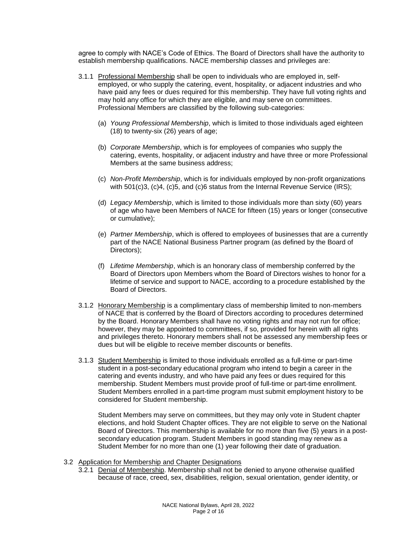agree to comply with NACE's Code of Ethics. The Board of Directors shall have the authority to establish membership qualifications. NACE membership classes and privileges are:

- 3.1.1 Professional Membership shall be open to individuals who are employed in, selfemployed, or who supply the catering, event, hospitality, or adjacent industries and who have paid any fees or dues required for this membership. They have full voting rights and may hold any office for which they are eligible, and may serve on committees. Professional Members are classified by the following sub-categories:
	- (a) *Young Professional Membership*, which is limited to those individuals aged eighteen (18) to twenty-six (26) years of age;
	- (b) *Corporate Membership*, which is for employees of companies who supply the catering, events, hospitality, or adjacent industry and have three or more Professional Members at the same business address;
	- (c) *Non-Profit Membership*, which is for individuals employed by non-profit organizations with 501(c)3, (c)4, (c)5, and (c)6 status from the Internal Revenue Service (IRS);
	- (d) *Legacy Membership*, which is limited to those individuals more than sixty (60) years of age who have been Members of NACE for fifteen (15) years or longer (consecutive or cumulative);
	- (e) *Partner Membership*, which is offered to employees of businesses that are a currently part of the NACE National Business Partner program (as defined by the Board of Directors);
	- (f) *Lifetime Membership*, which is an honorary class of membership conferred by the Board of Directors upon Members whom the Board of Directors wishes to honor for a lifetime of service and support to NACE, according to a procedure established by the Board of Directors.
- 3.1.2 Honorary Membership is a complimentary class of membership limited to non-members of NACE that is conferred by the Board of Directors according to procedures determined by the Board. Honorary Members shall have no voting rights and may not run for office; however, they may be appointed to committees, if so, provided for herein with all rights and privileges thereto. Honorary members shall not be assessed any membership fees or dues but will be eligible to receive member discounts or benefits.
- 3.1.3 Student Membership is limited to those individuals enrolled as a full-time or part-time student in a post-secondary educational program who intend to begin a career in the catering and events industry, and who have paid any fees or dues required for this membership. Student Members must provide proof of full-time or part-time enrollment. Student Members enrolled in a part-time program must submit employment history to be considered for Student membership.

Student Members may serve on committees, but they may only vote in Student chapter elections, and hold Student Chapter offices. They are not eligible to serve on the National Board of Directors. This membership is available for no more than five (5) years in a postsecondary education program. Student Members in good standing may renew as a Student Member for no more than one (1) year following their date of graduation.

- 3.2 Application for Membership and Chapter Designations
	- 3.2.1 Denial of Membership. Membership shall not be denied to anyone otherwise qualified because of race, creed, sex, disabilities, religion, sexual orientation, gender identity, or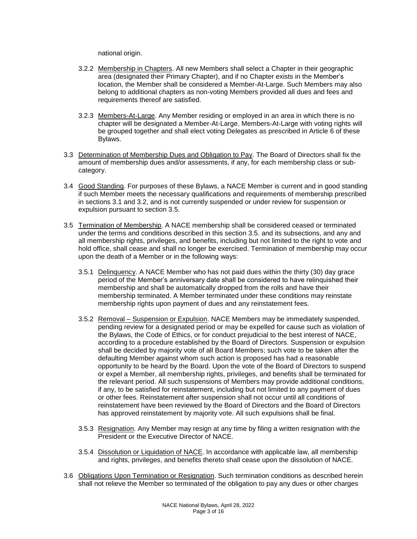national origin.

- 3.2.2 Membership in Chapters. All new Members shall select a Chapter in their geographic area (designated their Primary Chapter), and if no Chapter exists in the Member's location, the Member shall be considered a Member-At-Large. Such Members may also belong to additional chapters as non-voting Members provided all dues and fees and requirements thereof are satisfied.
- 3.2.3 Members-At-Large. Any Member residing or employed in an area in which there is no chapter will be designated a Member-At-Large. Members-At-Large with voting rights will be grouped together and shall elect voting Delegates as prescribed in Article 6 of these Bylaws.
- 3.3 Determination of Membership Dues and Obligation to Pay. The Board of Directors shall fix the amount of membership dues and/or assessments, if any, for each membership class or subcategory.
- 3.4 Good Standing. For purposes of these Bylaws, a NACE Member is current and in good standing if such Member meets the necessary qualifications and requirements of membership prescribed in sections 3.1 and 3.2, and is not currently suspended or under review for suspension or expulsion pursuant to section 3.5.
- 3.5 Termination of Membership. A NACE membership shall be considered ceased or terminated under the terms and conditions described in this section 3.5. and its subsections, and any and all membership rights, privileges, and benefits, including but not limited to the right to vote and hold office, shall cease and shall no longer be exercised. Termination of membership may occur upon the death of a Member or in the following ways:
	- 3.5.1 Delinquency. A NACE Member who has not paid dues within the thirty (30) day grace period of the Member's anniversary date shall be considered to have relinquished their membership and shall be automatically dropped from the rolls and have their membership terminated. A Member terminated under these conditions may reinstate membership rights upon payment of dues and any reinstatement fees.
	- 3.5.2 Removal Suspension or Expulsion. NACE Members may be immediately suspended, pending review for a designated period or may be expelled for cause such as violation of the Bylaws, the Code of Ethics, or for conduct prejudicial to the best interest of NACE, according to a procedure established by the Board of Directors. Suspension or expulsion shall be decided by majority vote of all Board Members; such vote to be taken after the defaulting Member against whom such action is proposed has had a reasonable opportunity to be heard by the Board. Upon the vote of the Board of Directors to suspend or expel a Member, all membership rights, privileges, and benefits shall be terminated for the relevant period. All such suspensions of Members may provide additional conditions, if any, to be satisfied for reinstatement, including but not limited to any payment of dues or other fees. Reinstatement after suspension shall not occur until all conditions of reinstatement have been reviewed by the Board of Directors and the Board of Directors has approved reinstatement by majority vote. All such expulsions shall be final.
	- 3.5.3 Resignation. Any Member may resign at any time by filing a written resignation with the President or the Executive Director of NACE.
	- 3.5.4 Dissolution or Liquidation of NACE. In accordance with applicable law, all membership and rights, privileges, and benefits thereto shall cease upon the dissolution of NACE.
- 3.6 Obligations Upon Termination or Resignation. Such termination conditions as described herein shall not relieve the Member so terminated of the obligation to pay any dues or other charges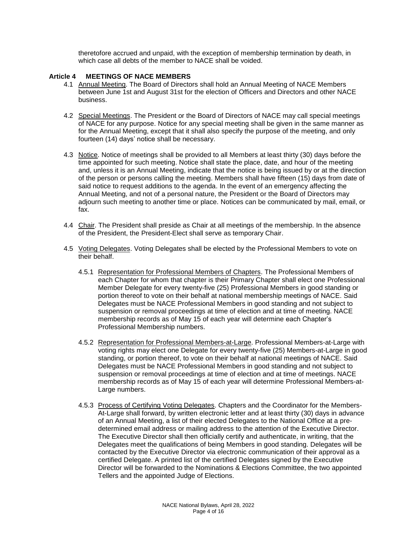theretofore accrued and unpaid, with the exception of membership termination by death, in which case all debts of the member to NACE shall be voided.

## **Article 4 MEETINGS OF NACE MEMBERS**

- 4.1 Annual Meeting. The Board of Directors shall hold an Annual Meeting of NACE Members between June 1st and August 31st for the election of Officers and Directors and other NACE business.
- 4.2 Special Meetings. The President or the Board of Directors of NACE may call special meetings of NACE for any purpose. Notice for any special meeting shall be given in the same manner as for the Annual Meeting, except that it shall also specify the purpose of the meeting, and only fourteen (14) days' notice shall be necessary.
- 4.3 Notice. Notice of meetings shall be provided to all Members at least thirty (30) days before the time appointed for such meeting. Notice shall state the place, date, and hour of the meeting and, unless it is an Annual Meeting, indicate that the notice is being issued by or at the direction of the person or persons calling the meeting. Members shall have fifteen (15) days from date of said notice to request additions to the agenda. In the event of an emergency affecting the Annual Meeting, and not of a personal nature, the President or the Board of Directors may adjourn such meeting to another time or place. Notices can be communicated by mail, email, or fax.
- 4.4 Chair. The President shall preside as Chair at all meetings of the membership. In the absence of the President, the President-Elect shall serve as temporary Chair.
- 4.5 Voting Delegates. Voting Delegates shall be elected by the Professional Members to vote on their behalf.
	- 4.5.1 Representation for Professional Members of Chapters. The Professional Members of each Chapter for whom that chapter is their Primary Chapter shall elect one Professional Member Delegate for every twenty-five (25) Professional Members in good standing or portion thereof to vote on their behalf at national membership meetings of NACE. Said Delegates must be NACE Professional Members in good standing and not subject to suspension or removal proceedings at time of election and at time of meeting. NACE membership records as of May 15 of each year will determine each Chapter's Professional Membership numbers.
	- 4.5.2 Representation for Professional Members-at-Large. Professional Members-at-Large with voting rights may elect one Delegate for every twenty-five (25) Members-at-Large in good standing, or portion thereof, to vote on their behalf at national meetings of NACE. Said Delegates must be NACE Professional Members in good standing and not subject to suspension or removal proceedings at time of election and at time of meetings. NACE membership records as of May 15 of each year will determine Professional Members-at-Large numbers.
	- 4.5.3 Process of Certifying Voting Delegates. Chapters and the Coordinator for the Members-At-Large shall forward, by written electronic letter and at least thirty (30) days in advance of an Annual Meeting, a list of their elected Delegates to the National Office at a predetermined email address or mailing address to the attention of the Executive Director. The Executive Director shall then officially certify and authenticate, in writing, that the Delegates meet the qualifications of being Members in good standing. Delegates will be contacted by the Executive Director via electronic communication of their approval as a certified Delegate. A printed list of the certified Delegates signed by the Executive Director will be forwarded to the Nominations & Elections Committee, the two appointed Tellers and the appointed Judge of Elections.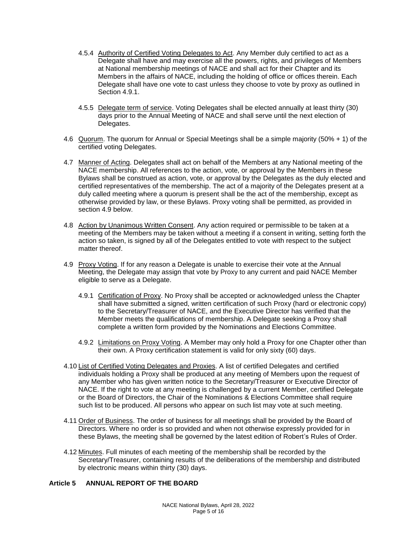- 4.5.4 Authority of Certified Voting Delegates to Act. Any Member duly certified to act as a Delegate shall have and may exercise all the powers, rights, and privileges of Members at National membership meetings of NACE and shall act for their Chapter and its Members in the affairs of NACE, including the holding of office or offices therein. Each Delegate shall have one vote to cast unless they choose to vote by proxy as outlined in Section 4.9.1.
- 4.5.5 Delegate term of service. Voting Delegates shall be elected annually at least thirty (30) days prior to the Annual Meeting of NACE and shall serve until the next election of Delegates.
- 4.6 Quorum. The quorum for Annual or Special Meetings shall be a simple majority (50% + 1) of the certified voting Delegates.
- 4.7 Manner of Acting. Delegates shall act on behalf of the Members at any National meeting of the NACE membership. All references to the action, vote, or approval by the Members in these Bylaws shall be construed as action, vote, or approval by the Delegates as the duly elected and certified representatives of the membership. The act of a majority of the Delegates present at a duly called meeting where a quorum is present shall be the act of the membership, except as otherwise provided by law, or these Bylaws. Proxy voting shall be permitted, as provided in section 4.9 below.
- 4.8 Action by Unanimous Written Consent. Any action required or permissible to be taken at a meeting of the Members may be taken without a meeting if a consent in writing, setting forth the action so taken, is signed by all of the Delegates entitled to vote with respect to the subject matter thereof.
- 4.9 Proxy Voting. If for any reason a Delegate is unable to exercise their vote at the Annual Meeting, the Delegate may assign that vote by Proxy to any current and paid NACE Member eligible to serve as a Delegate.
	- 4.9.1 Certification of Proxy. No Proxy shall be accepted or acknowledged unless the Chapter shall have submitted a signed, written certification of such Proxy (hard or electronic copy) to the Secretary/Treasurer of NACE, and the Executive Director has verified that the Member meets the qualifications of membership. A Delegate seeking a Proxy shall complete a written form provided by the Nominations and Elections Committee.
	- 4.9.2 Limitations on Proxy Voting. A Member may only hold a Proxy for one Chapter other than their own. A Proxy certification statement is valid for only sixty (60) days.
- 4.10 List of Certified Voting Delegates and Proxies. A list of certified Delegates and certified individuals holding a Proxy shall be produced at any meeting of Members upon the request of any Member who has given written notice to the Secretary/Treasurer or Executive Director of NACE. If the right to vote at any meeting is challenged by a current Member, certified Delegate or the Board of Directors, the Chair of the Nominations & Elections Committee shall require such list to be produced. All persons who appear on such list may vote at such meeting.
- 4.11 Order of Business. The order of business for all meetings shall be provided by the Board of Directors. Where no order is so provided and when not otherwise expressly provided for in these Bylaws, the meeting shall be governed by the latest edition of Robert's Rules of Order.
- 4.12 Minutes. Full minutes of each meeting of the membership shall be recorded by the Secretary/Treasurer, containing results of the deliberations of the membership and distributed by electronic means within thirty (30) days.

## **Article 5 ANNUAL REPORT OF THE BOARD**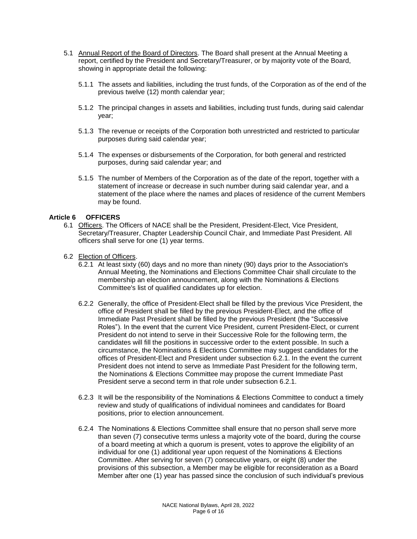- 5.1 Annual Report of the Board of Directors. The Board shall present at the Annual Meeting a report, certified by the President and Secretary/Treasurer, or by majority vote of the Board, showing in appropriate detail the following:
	- 5.1.1 The assets and liabilities, including the trust funds, of the Corporation as of the end of the previous twelve (12) month calendar year;
	- 5.1.2 The principal changes in assets and liabilities, including trust funds, during said calendar year;
	- 5.1.3 The revenue or receipts of the Corporation both unrestricted and restricted to particular purposes during said calendar year;
	- 5.1.4 The expenses or disbursements of the Corporation, for both general and restricted purposes, during said calendar year; and
	- 5.1.5 The number of Members of the Corporation as of the date of the report, together with a statement of increase or decrease in such number during said calendar year, and a statement of the place where the names and places of residence of the current Members may be found.

## **Article 6 OFFICERS**

- 6.1 Officers. The Officers of NACE shall be the President, President-Elect, Vice President, Secretary/Treasurer, Chapter Leadership Council Chair, and Immediate Past President. All officers shall serve for one (1) year terms.
- 6.2 Election of Officers.
	- 6.2.1 At least sixty (60) days and no more than ninety (90) days prior to the Association's Annual Meeting, the Nominations and Elections Committee Chair shall circulate to the membership an election announcement, along with the Nominations & Elections Committee's list of qualified candidates up for election.
	- 6.2.2 Generally, the office of President-Elect shall be filled by the previous Vice President, the office of President shall be filled by the previous President-Elect, and the office of Immediate Past President shall be filled by the previous President (the "Successive Roles"). In the event that the current Vice President, current President-Elect, or current President do not intend to serve in their Successive Role for the following term, the candidates will fill the positions in successive order to the extent possible. In such a circumstance, the Nominations & Elections Committee may suggest candidates for the offices of President-Elect and President under subsection 6.2.1. In the event the current President does not intend to serve as Immediate Past President for the following term, the Nominations & Elections Committee may propose the current Immediate Past President serve a second term in that role under subsection 6.2.1.
	- 6.2.3 It will be the responsibility of the Nominations & Elections Committee to conduct a timely review and study of qualifications of individual nominees and candidates for Board positions, prior to election announcement.
	- 6.2.4 The Nominations & Elections Committee shall ensure that no person shall serve more than seven (7) consecutive terms unless a majority vote of the board, during the course of a board meeting at which a quorum is present, votes to approve the eligibility of an individual for one (1) additional year upon request of the Nominations & Elections Committee. After serving for seven (7) consecutive years, or eight (8) under the provisions of this subsection, a Member may be eligible for reconsideration as a Board Member after one (1) year has passed since the conclusion of such individual's previous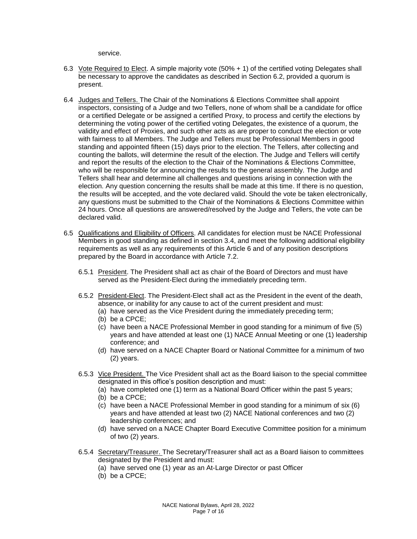service.

- 6.3 Vote Required to Elect. A simple majority vote (50% + 1) of the certified voting Delegates shall be necessary to approve the candidates as described in Section 6.2, provided a quorum is present.
- 6.4 Judges and Tellers. The Chair of the Nominations & Elections Committee shall appoint inspectors, consisting of a Judge and two Tellers, none of whom shall be a candidate for office or a certified Delegate or be assigned a certified Proxy, to process and certify the elections by determining the voting power of the certified voting Delegates, the existence of a quorum, the validity and effect of Proxies, and such other acts as are proper to conduct the election or vote with fairness to all Members. The Judge and Tellers must be Professional Members in good standing and appointed fifteen (15) days prior to the election. The Tellers, after collecting and counting the ballots, will determine the result of the election. The Judge and Tellers will certify and report the results of the election to the Chair of the Nominations & Elections Committee, who will be responsible for announcing the results to the general assembly. The Judge and Tellers shall hear and determine all challenges and questions arising in connection with the election. Any question concerning the results shall be made at this time. If there is no question, the results will be accepted, and the vote declared valid. Should the vote be taken electronically, any questions must be submitted to the Chair of the Nominations & Elections Committee within 24 hours. Once all questions are answered/resolved by the Judge and Tellers, the vote can be declared valid.
- 6.5 Qualifications and Eligibility of Officers. All candidates for election must be NACE Professional Members in good standing as defined in section 3.4, and meet the following additional eligibility requirements as well as any requirements of this Article 6 and of any position descriptions prepared by the Board in accordance with Article 7.2.
	- 6.5.1 President. The President shall act as chair of the Board of Directors and must have served as the President-Elect during the immediately preceding term.
	- 6.5.2 President-Elect. The President-Elect shall act as the President in the event of the death, absence, or inability for any cause to act of the current president and must:
		- (a) have served as the Vice President during the immediately preceding term;
		- (b) be a CPCE;
		- (c) have been a NACE Professional Member in good standing for a minimum of five (5) years and have attended at least one (1) NACE Annual Meeting or one (1) leadership conference; and
		- (d) have served on a NACE Chapter Board or National Committee for a minimum of two (2) years.
	- 6.5.3 Vice President. The Vice President shall act as the Board liaison to the special committee designated in this office's position description and must:
		- (a) have completed one (1) term as a National Board Officer within the past 5 years;
		- (b) be a CPCE;
		- (c) have been a NACE Professional Member in good standing for a minimum of six (6) years and have attended at least two (2) NACE National conferences and two (2) leadership conferences; and
		- (d) have served on a NACE Chapter Board Executive Committee position for a minimum of two (2) years.
	- 6.5.4 Secretary/Treasurer. The Secretary/Treasurer shall act as a Board liaison to committees designated by the President and must:
		- (a) have served one (1) year as an At-Large Director or past Officer
		- (b) be a CPCE;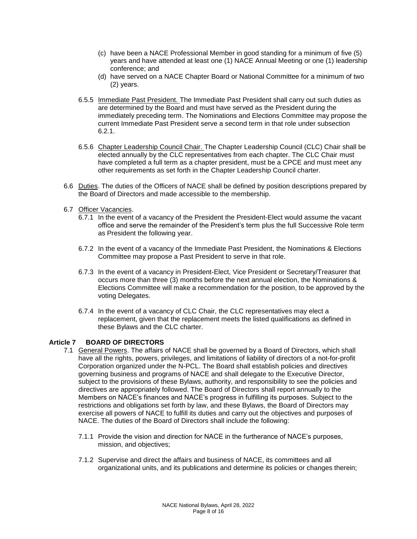- (c) have been a NACE Professional Member in good standing for a minimum of five (5) years and have attended at least one (1) NACE Annual Meeting or one (1) leadership conference; and
- (d) have served on a NACE Chapter Board or National Committee for a minimum of two (2) years.
- 6.5.5 Immediate Past President. The Immediate Past President shall carry out such duties as are determined by the Board and must have served as the President during the immediately preceding term. The Nominations and Elections Committee may propose the current Immediate Past President serve a second term in that role under subsection 6.2.1.
- 6.5.6 Chapter Leadership Council Chair. The Chapter Leadership Council (CLC) Chair shall be elected annually by the CLC representatives from each chapter. The CLC Chair must have completed a full term as a chapter president, must be a CPCE and must meet any other requirements as set forth in the Chapter Leadership Council charter.
- 6.6 Duties. The duties of the Officers of NACE shall be defined by position descriptions prepared by the Board of Directors and made accessible to the membership.
- 6.7 Officer Vacancies.
	- 6.7.1 In the event of a vacancy of the President the President-Elect would assume the vacant office and serve the remainder of the President's term plus the full Successive Role term as President the following year.
	- 6.7.2 In the event of a vacancy of the Immediate Past President, the Nominations & Elections Committee may propose a Past President to serve in that role.
	- 6.7.3 In the event of a vacancy in President-Elect, Vice President or Secretary/Treasurer that occurs more than three (3) months before the next annual election, the Nominations & Elections Committee will make a recommendation for the position, to be approved by the voting Delegates.
	- 6.7.4 In the event of a vacancy of CLC Chair, the CLC representatives may elect a replacement, given that the replacement meets the listed qualifications as defined in these Bylaws and the CLC charter.

#### **Article 7 BOARD OF DIRECTORS**

- 7.1 General Powers. The affairs of NACE shall be governed by a Board of Directors, which shall have all the rights, powers, privileges, and limitations of liability of directors of a not-for-profit Corporation organized under the N-PCL. The Board shall establish policies and directives governing business and programs of NACE and shall delegate to the Executive Director, subject to the provisions of these Bylaws, authority, and responsibility to see the policies and directives are appropriately followed. The Board of Directors shall report annually to the Members on NACE's finances and NACE's progress in fulfilling its purposes. Subject to the restrictions and obligations set forth by law, and these Bylaws, the Board of Directors may exercise all powers of NACE to fulfill its duties and carry out the objectives and purposes of NACE. The duties of the Board of Directors shall include the following:
	- 7.1.1 Provide the vision and direction for NACE in the furtherance of NACE's purposes, mission, and objectives;
	- 7.1.2 Supervise and direct the affairs and business of NACE, its committees and all organizational units, and its publications and determine its policies or changes therein;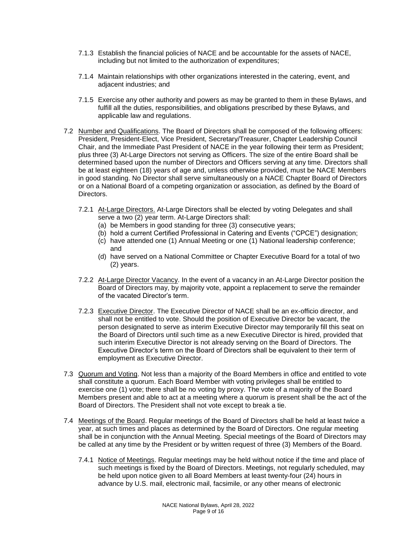- 7.1.3 Establish the financial policies of NACE and be accountable for the assets of NACE, including but not limited to the authorization of expenditures;
- 7.1.4 Maintain relationships with other organizations interested in the catering, event, and adjacent industries; and
- 7.1.5 Exercise any other authority and powers as may be granted to them in these Bylaws, and fulfill all the duties, responsibilities, and obligations prescribed by these Bylaws, and applicable law and regulations.
- 7.2 Number and Qualifications. The Board of Directors shall be composed of the following officers: President, President-Elect, Vice President, Secretary/Treasurer, Chapter Leadership Council Chair, and the Immediate Past President of NACE in the year following their term as President; plus three (3) At-Large Directors not serving as Officers. The size of the entire Board shall be determined based upon the number of Directors and Officers serving at any time. Directors shall be at least eighteen (18) years of age and, unless otherwise provided, must be NACE Members in good standing. No Director shall serve simultaneously on a NACE Chapter Board of Directors or on a National Board of a competing organization or association, as defined by the Board of Directors.
	- 7.2.1 At-Large Directors. At-Large Directors shall be elected by voting Delegates and shall serve a two (2) year term. At-Large Directors shall:
		- (a) be Members in good standing for three (3) consecutive years;
		- (b) hold a current Certified Professional in Catering and Events ("CPCE") designation;
		- (c) have attended one (1) Annual Meeting or one (1) National leadership conference; and
		- (d) have served on a National Committee or Chapter Executive Board for a total of two (2) years.
	- 7.2.2 At-Large Director Vacancy. In the event of a vacancy in an At-Large Director position the Board of Directors may, by majority vote, appoint a replacement to serve the remainder of the vacated Director's term.
	- 7.2.3 Executive Director. The Executive Director of NACE shall be an ex-officio director, and shall not be entitled to vote. Should the position of Executive Director be vacant, the person designated to serve as interim Executive Director may temporarily fill this seat on the Board of Directors until such time as a new Executive Director is hired, provided that such interim Executive Director is not already serving on the Board of Directors. The Executive Director's term on the Board of Directors shall be equivalent to their term of employment as Executive Director.
- 7.3 Quorum and Voting. Not less than a majority of the Board Members in office and entitled to vote shall constitute a quorum. Each Board Member with voting privileges shall be entitled to exercise one (1) vote; there shall be no voting by proxy. The vote of a majority of the Board Members present and able to act at a meeting where a quorum is present shall be the act of the Board of Directors. The President shall not vote except to break a tie.
- 7.4 Meetings of the Board. Regular meetings of the Board of Directors shall be held at least twice a year, at such times and places as determined by the Board of Directors. One regular meeting shall be in conjunction with the Annual Meeting. Special meetings of the Board of Directors may be called at any time by the President or by written request of three (3) Members of the Board.
	- 7.4.1 Notice of Meetings. Regular meetings may be held without notice if the time and place of such meetings is fixed by the Board of Directors. Meetings, not regularly scheduled, may be held upon notice given to all Board Members at least twenty-four (24) hours in advance by U.S. mail, electronic mail, facsimile, or any other means of electronic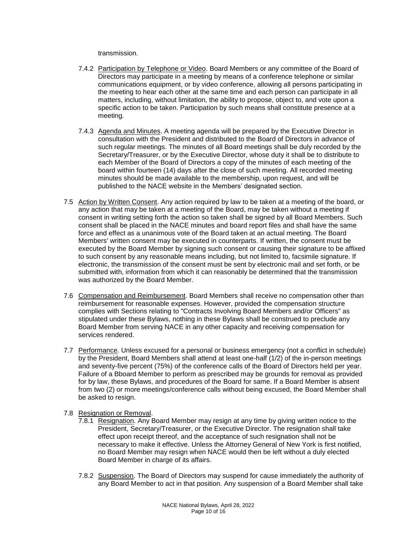transmission.

- 7.4.2 Participation by Telephone or Video. Board Members or any committee of the Board of Directors may participate in a meeting by means of a conference telephone or similar communications equipment, or by video conference, allowing all persons participating in the meeting to hear each other at the same time and each person can participate in all matters, including, without limitation, the ability to propose, object to, and vote upon a specific action to be taken. Participation by such means shall constitute presence at a meeting.
- 7.4.3 Agenda and Minutes. A meeting agenda will be prepared by the Executive Director in consultation with the President and distributed to the Board of Directors in advance of such regular meetings. The minutes of all Board meetings shall be duly recorded by the Secretary/Treasurer, or by the Executive Director, whose duty it shall be to distribute to each Member of the Board of Directors a copy of the minutes of each meeting of the board within fourteen (14) days after the close of such meeting. All recorded meeting minutes should be made available to the membership, upon request, and will be published to the NACE website in the Members' designated section.
- 7.5 Action by Written Consent. Any action required by law to be taken at a meeting of the board, or any action that may be taken at a meeting of the Board, may be taken without a meeting if consent in writing setting forth the action so taken shall be signed by all Board Members. Such consent shall be placed in the NACE minutes and board report files and shall have the same force and effect as a unanimous vote of the Board taken at an actual meeting. The Board Members' written consent may be executed in counterparts. If written, the consent must be executed by the Board Member by signing such consent or causing their signature to be affixed to such consent by any reasonable means including, but not limited to, facsimile signature. If electronic, the transmission of the consent must be sent by electronic mail and set forth, or be submitted with, information from which it can reasonably be determined that the transmission was authorized by the Board Member.
- 7.6 Compensation and Reimbursement. Board Members shall receive no compensation other than reimbursement for reasonable expenses. However, provided the compensation structure complies with Sections relating to "Contracts Involving Board Members and/or Officers" as stipulated under these Bylaws, nothing in these Bylaws shall be construed to preclude any Board Member from serving NACE in any other capacity and receiving compensation for services rendered.
- 7.7 Performance. Unless excused for a personal or business emergency (not a conflict in schedule) by the President, Board Members shall attend at least one-half (1/2) of the in-person meetings and seventy-five percent (75%) of the conference calls of the Board of Directors held per year. Failure of a Bboard Member to perform as prescribed may be grounds for removal as provided for by law, these Bylaws, and procedures of the Board for same. If a Board Member is absent from two (2) or more meetings/conference calls without being excused, the Board Member shall be asked to resign.
- 7.8 Resignation or Removal.
	- 7.8.1 Resignation. Any Board Member may resign at any time by giving written notice to the President, Secretary/Treasurer, or the Executive Director. The resignation shall take effect upon receipt thereof, and the acceptance of such resignation shall not be necessary to make it effective. Unless the Attorney General of New York is first notified, no Board Member may resign when NACE would then be left without a duly elected Board Member in charge of its affairs.
	- 7.8.2 Suspension. The Board of Directors may suspend for cause immediately the authority of any Board Member to act in that position. Any suspension of a Board Member shall take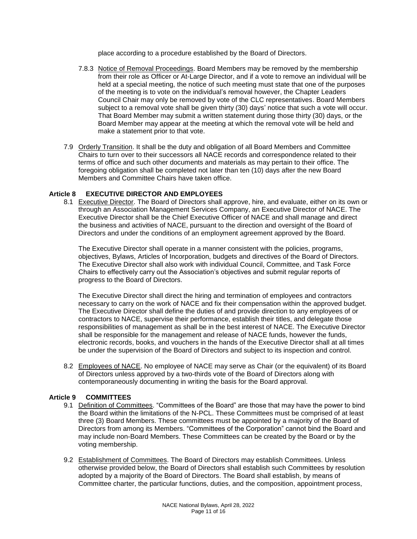place according to a procedure established by the Board of Directors.

- 7.8.3 Notice of Removal Proceedings. Board Members may be removed by the membership from their role as Officer or At-Large Director, and if a vote to remove an individual will be held at a special meeting, the notice of such meeting must state that one of the purposes of the meeting is to vote on the individual's removal however, the Chapter Leaders Council Chair may only be removed by vote of the CLC representatives. Board Members subject to a removal vote shall be given thirty (30) days' notice that such a vote will occur. That Board Member may submit a written statement during those thirty (30) days, or the Board Member may appear at the meeting at which the removal vote will be held and make a statement prior to that vote.
- 7.9 Orderly Transition. It shall be the duty and obligation of all Board Members and Committee Chairs to turn over to their successors all NACE records and correspondence related to their terms of office and such other documents and materials as may pertain to their office. The foregoing obligation shall be completed not later than ten (10) days after the new Board Members and Committee Chairs have taken office.

## **Article 8 EXECUTIVE DIRECTOR AND EMPLOYEES**

8.1 Executive Director. The Board of Directors shall approve, hire, and evaluate, either on its own or through an Association Management Services Company, an Executive Director of NACE. The Executive Director shall be the Chief Executive Officer of NACE and shall manage and direct the business and activities of NACE, pursuant to the direction and oversight of the Board of Directors and under the conditions of an employment agreement approved by the Board.

The Executive Director shall operate in a manner consistent with the policies, programs, objectives, Bylaws, Articles of Incorporation, budgets and directives of the Board of Directors. The Executive Director shall also work with individual Council, Committee, and Task Force Chairs to effectively carry out the Association's objectives and submit regular reports of progress to the Board of Directors.

The Executive Director shall direct the hiring and termination of employees and contractors necessary to carry on the work of NACE and fix their compensation within the approved budget. The Executive Director shall define the duties of and provide direction to any employees of or contractors to NACE, supervise their performance, establish their titles, and delegate those responsibilities of management as shall be in the best interest of NACE. The Executive Director shall be responsible for the management and release of NACE funds, however the funds, electronic records, books, and vouchers in the hands of the Executive Director shall at all times be under the supervision of the Board of Directors and subject to its inspection and control.

8.2 Employees of NACE. No employee of NACE may serve as Chair (or the equivalent) of its Board of Directors unless approved by a two-thirds vote of the Board of Directors along with contemporaneously documenting in writing the basis for the Board approval.

## **Article 9 COMMITTEES**

- 9.1 Definition of Committees. "Committees of the Board" are those that may have the power to bind the Board within the limitations of the N-PCL. These Committees must be comprised of at least three (3) Board Members. These committees must be appointed by a majority of the Board of Directors from among its Members. "Committees of the Corporation" cannot bind the Board and may include non-Board Members. These Committees can be created by the Board or by the voting membership.
- 9.2 Establishment of Committees. The Board of Directors may establish Committees. Unless otherwise provided below, the Board of Directors shall establish such Committees by resolution adopted by a majority of the Board of Directors. The Board shall establish, by means of Committee charter, the particular functions, duties, and the composition, appointment process,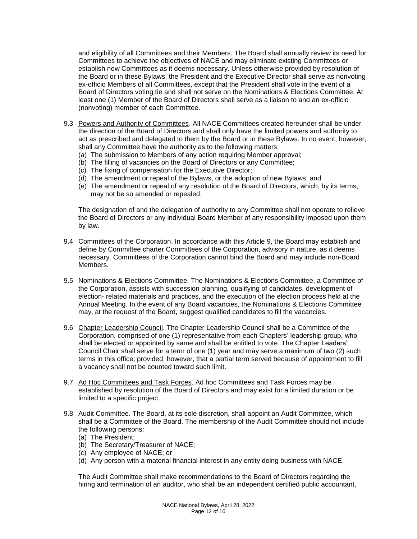and eligibility of all Committees and their Members. The Board shall annually review its need for Committees to achieve the objectives of NACE and may eliminate existing Committees or establish new Committees as it deems necessary. Unless otherwise provided by resolution of the Board or in these Bylaws, the President and the Executive Director shall serve as nonvoting ex-officio Members of all Committees, except that the President shall vote in the event of a Board of Directors voting tie and shall not serve on the Nominations & Elections Committee. At least one (1) Member of the Board of Directors shall serve as a liaison to and an ex-officio (nonvoting) member of each Committee.

- 9.3 Powers and Authority of Committees. All NACE Committees created hereunder shall be under the direction of the Board of Directors and shall only have the limited powers and authority to act as prescribed and delegated to them by the Board or in these Bylaws. In no event, however, shall any Committee have the authority as to the following matters:
	- (a) The submission to Members of any action requiring Member approval;
	- (b) The filling of vacancies on the Board of Directors or any Committee;
	- (c) The fixing of compensation for the Executive Director;
	- (d) The amendment or repeal of the Bylaws, or the adoption of new Bylaws; and
	- (e) The amendment or repeal of any resolution of the Board of Directors, which, by its terms, may not be so amended or repealed.

The designation of and the delegation of authority to any Committee shall not operate to relieve the Board of Directors or any individual Board Member of any responsibility imposed upon them by law.

- 9.4 Committees of the Corporation. In accordance with this Article 9, the Board may establish and define by Committee charter Committees of the Corporation, advisory in nature, as it deems necessary. Committees of the Corporation cannot bind the Board and may include non-Board Members.
- 9.5 Nominations & Elections Committee. The Nominations & Elections Committee, a Committee of the Corporation, assists with succession planning, qualifying of candidates, development of election- related materials and practices, and the execution of the election process held at the Annual Meeting. In the event of any Board vacancies, the Nominations & Elections Committee may, at the request of the Board, suggest qualified candidates to fill the vacancies.
- 9.6 Chapter Leadership Council. The Chapter Leadership Council shall be a Committee of the Corporation, comprised of one (1) representative from each Chapters' leadership group, who shall be elected or appointed by same and shall be entitled to vote. The Chapter Leaders' Council Chair shall serve for a term of one (1) year and may serve a maximum of two (2) such terms in this office; provided, however, that a partial term served because of appointment to fill a vacancy shall not be counted toward such limit.
- 9.7 Ad Hoc Committees and Task Forces. Ad hoc Committees and Task Forces may be established by resolution of the Board of Directors and may exist for a limited duration or be limited to a specific project.
- 9.8 Audit Committee. The Board, at its sole discretion, shall appoint an Audit Committee, which shall be a Committee of the Board. The membership of the Audit Committee should not include the following persons:
	- (a) The President;
	- (b) The Secretary/Treasurer of NACE;
	- (c) Any employee of NACE; or
	- (d) Any person with a material financial interest in any entity doing business with NACE.

The Audit Committee shall make recommendations to the Board of Directors regarding the hiring and termination of an auditor, who shall be an independent certified public accountant,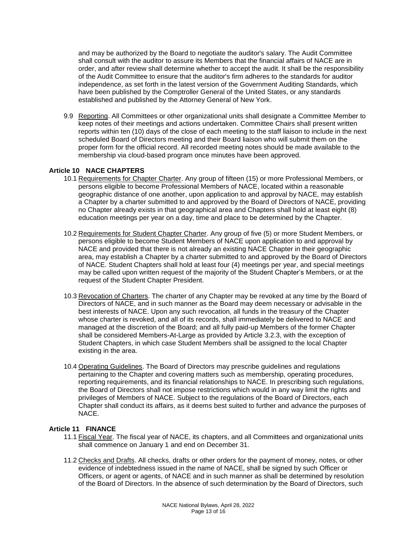and may be authorized by the Board to negotiate the auditor's salary. The Audit Committee shall consult with the auditor to assure its Members that the financial affairs of NACE are in order, and after review shall determine whether to accept the audit. It shall be the responsibility of the Audit Committee to ensure that the auditor's firm adheres to the standards for auditor independence, as set forth in the latest version of the Government Auditing Standards, which have been published by the Comptroller General of the United States, or any standards established and published by the Attorney General of New York.

9.9 Reporting. All Committees or other organizational units shall designate a Committee Member to keep notes of their meetings and actions undertaken. Committee Chairs shall present written reports within ten (10) days of the close of each meeting to the staff liaison to include in the next scheduled Board of Directors meeting and their Board liaison who will submit them on the proper form for the official record. All recorded meeting notes should be made available to the membership via cloud-based program once minutes have been approved.

## **Article 10 NACE CHAPTERS**

- 10.1 Requirements for Chapter Charter. Any group of fifteen (15) or more Professional Members, or persons eligible to become Professional Members of NACE, located within a reasonable geographic distance of one another, upon application to and approval by NACE, may establish a Chapter by a charter submitted to and approved by the Board of Directors of NACE, providing no Chapter already exists in that geographical area and Chapters shall hold at least eight (8) education meetings per year on a day, time and place to be determined by the Chapter.
- 10.2 Requirements for Student Chapter Charter. Any group of five (5) or more Student Members, or persons eligible to become Student Members of NACE upon application to and approval by NACE and provided that there is not already an existing NACE Chapter in their geographic area, may establish a Chapter by a charter submitted to and approved by the Board of Directors of NACE. Student Chapters shall hold at least four (4) meetings per year, and special meetings may be called upon written request of the majority of the Student Chapter's Members, or at the request of the Student Chapter President.
- 10.3 Revocation of Charters. The charter of any Chapter may be revoked at any time by the Board of Directors of NACE, and in such manner as the Board may deem necessary or advisable in the best interests of NACE. Upon any such revocation, all funds in the treasury of the Chapter whose charter is revoked, and all of its records, shall immediately be delivered to NACE and managed at the discretion of the Board; and all fully paid-up Members of the former Chapter shall be considered Members-At-Large as provided by Article 3.2.3, with the exception of Student Chapters, in which case Student Members shall be assigned to the local Chapter existing in the area.
- 10.4 Operating Guidelines. The Board of Directors may prescribe guidelines and regulations pertaining to the Chapter and covering matters such as membership, operating procedures, reporting requirements, and its financial relationships to NACE. In prescribing such regulations, the Board of Directors shall not impose restrictions which would in any way limit the rights and privileges of Members of NACE. Subject to the regulations of the Board of Directors, each Chapter shall conduct its affairs, as it deems best suited to further and advance the purposes of NACE.

#### **Article 11 FINANCE**

- 11.1 Fiscal Year. The fiscal year of NACE, its chapters, and all Committees and organizational units shall commence on January 1 and end on December 31.
- 11.2 Checks and Drafts. All checks, drafts or other orders for the payment of money, notes, or other evidence of indebtedness issued in the name of NACE, shall be signed by such Officer or Officers, or agent or agents, of NACE and in such manner as shall be determined by resolution of the Board of Directors. In the absence of such determination by the Board of Directors, such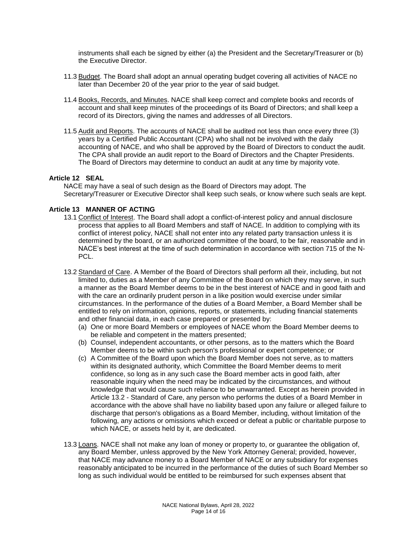instruments shall each be signed by either (a) the President and the Secretary/Treasurer or (b) the Executive Director.

- 11.3 Budget. The Board shall adopt an annual operating budget covering all activities of NACE no later than December 20 of the year prior to the year of said budget.
- 11.4 Books, Records, and Minutes. NACE shall keep correct and complete books and records of account and shall keep minutes of the proceedings of its Board of Directors; and shall keep a record of its Directors, giving the names and addresses of all Directors.
- 11.5 Audit and Reports. The accounts of NACE shall be audited not less than once every three (3) years by a Certified Public Accountant (CPA) who shall not be involved with the daily accounting of NACE, and who shall be approved by the Board of Directors to conduct the audit. The CPA shall provide an audit report to the Board of Directors and the Chapter Presidents. The Board of Directors may determine to conduct an audit at any time by majority vote.

#### **Article 12 SEAL**

NACE may have a seal of such design as the Board of Directors may adopt. The Secretary/Treasurer or Executive Director shall keep such seals, or know where such seals are kept.

## **Article 13 MANNER OF ACTING**

- 13.1 Conflict of Interest. The Board shall adopt a conflict-of-interest policy and annual disclosure process that applies to all Board Members and staff of NACE. In addition to complying with its conflict of interest policy, NACE shall not enter into any related party transaction unless it is determined by the board, or an authorized committee of the board, to be fair, reasonable and in NACE's best interest at the time of such determination in accordance with section 715 of the N-PCL.
- 13.2 Standard of Care. A Member of the Board of Directors shall perform all their, including, but not limited to, duties as a Member of any Committee of the Board on which they may serve, in such a manner as the Board Member deems to be in the best interest of NACE and in good faith and with the care an ordinarily prudent person in a like position would exercise under similar circumstances. In the performance of the duties of a Board Member, a Board Member shall be entitled to rely on information, opinions, reports, or statements, including financial statements and other financial data, in each case prepared or presented by:
	- (a) One or more Board Members or employees of NACE whom the Board Member deems to be reliable and competent in the matters presented;
	- (b) Counsel, independent accountants, or other persons, as to the matters which the Board Member deems to be within such person's professional or expert competence; or
	- (c) A Committee of the Board upon which the Board Member does not serve, as to matters within its designated authority, which Committee the Board Member deems to merit confidence, so long as in any such case the Board member acts in good faith, after reasonable inquiry when the need may be indicated by the circumstances, and without knowledge that would cause such reliance to be unwarranted. Except as herein provided in Article 13.2 - Standard of Care, any person who performs the duties of a Board Member in accordance with the above shall have no liability based upon any failure or alleged failure to discharge that person's obligations as a Board Member, including, without limitation of the following, any actions or omissions which exceed or defeat a public or charitable purpose to which NACE, or assets held by it, are dedicated.
- 13.3 Loans. NACE shall not make any loan of money or property to, or guarantee the obligation of, any Board Member, unless approved by the New York Attorney General; provided, however, that NACE may advance money to a Board Member of NACE or any subsidiary for expenses reasonably anticipated to be incurred in the performance of the duties of such Board Member so long as such individual would be entitled to be reimbursed for such expenses absent that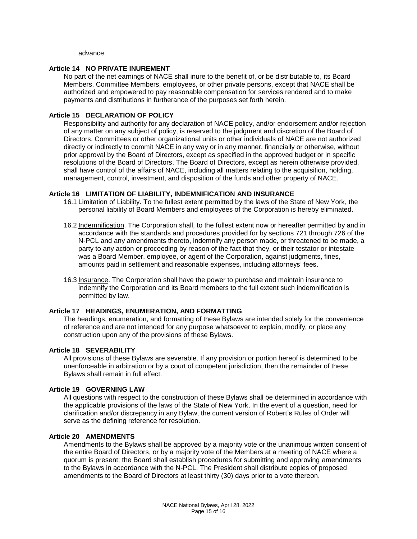advance.

## **Article 14 NO PRIVATE INUREMENT**

No part of the net earnings of NACE shall inure to the benefit of, or be distributable to, its Board Members, Committee Members, employees, or other private persons, except that NACE shall be authorized and empowered to pay reasonable compensation for services rendered and to make payments and distributions in furtherance of the purposes set forth herein.

## **Article 15 DECLARATION OF POLICY**

Responsibility and authority for any declaration of NACE policy, and/or endorsement and/or rejection of any matter on any subject of policy, is reserved to the judgment and discretion of the Board of Directors. Committees or other organizational units or other individuals of NACE are not authorized directly or indirectly to commit NACE in any way or in any manner, financially or otherwise, without prior approval by the Board of Directors, except as specified in the approved budget or in specific resolutions of the Board of Directors. The Board of Directors, except as herein otherwise provided, shall have control of the affairs of NACE, including all matters relating to the acquisition, holding, management, control, investment, and disposition of the funds and other property of NACE.

#### **Article 16 LIMITATION OF LIABILITY, INDEMNIFICATION AND INSURANCE**

- 16.1 Limitation of Liability. To the fullest extent permitted by the laws of the State of New York, the personal liability of Board Members and employees of the Corporation is hereby eliminated.
- 16.2 Indemnification. The Corporation shall, to the fullest extent now or hereafter permitted by and in accordance with the standards and procedures provided for by sections 721 through 726 of the N-PCL and any amendments thereto, indemnify any person made, or threatened to be made, a party to any action or proceeding by reason of the fact that they, or their testator or intestate was a Board Member, employee, or agent of the Corporation, against judgments, fines, amounts paid in settlement and reasonable expenses, including attorneys' fees.
- 16.3 Insurance. The Corporation shall have the power to purchase and maintain insurance to indemnify the Corporation and its Board members to the full extent such indemnification is permitted by law.

#### **Article 17 HEADINGS, ENUMERATION, AND FORMATTING**

The headings, enumeration, and formatting of these Bylaws are intended solely for the convenience of reference and are not intended for any purpose whatsoever to explain, modify, or place any construction upon any of the provisions of these Bylaws.

#### **Article 18 SEVERABILITY**

All provisions of these Bylaws are severable. If any provision or portion hereof is determined to be unenforceable in arbitration or by a court of competent jurisdiction, then the remainder of these Bylaws shall remain in full effect.

#### **Article 19 GOVERNING LAW**

All questions with respect to the construction of these Bylaws shall be determined in accordance with the applicable provisions of the laws of the State of New York. In the event of a question, need for clarification and/or discrepancy in any Bylaw, the current version of Robert's Rules of Order will serve as the defining reference for resolution.

#### **Article 20 AMENDMENTS**

Amendments to the Bylaws shall be approved by a majority vote or the unanimous written consent of the entire Board of Directors, or by a majority vote of the Members at a meeting of NACE where a quorum is present; the Board shall establish procedures for submitting and approving amendments to the Bylaws in accordance with the N-PCL. The President shall distribute copies of proposed amendments to the Board of Directors at least thirty (30) days prior to a vote thereon.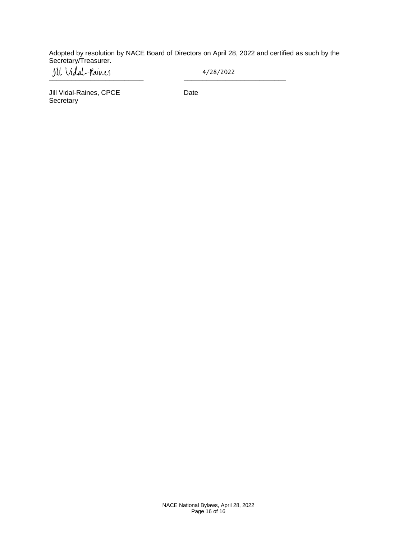Adopted by resolution by NACE Board of Directors on April 28, 2022 and certified as such by the Secretary/Treasurer.

\_\_\_\_\_\_\_\_\_\_\_\_\_\_\_\_\_\_\_\_\_\_\_\_\_ \_\_\_\_\_\_\_\_\_\_\_\_\_\_\_\_\_\_\_\_\_\_\_\_\_\_\_

4/28/2022

Jill Vidal-Raines, CPCE Date **Secretary**